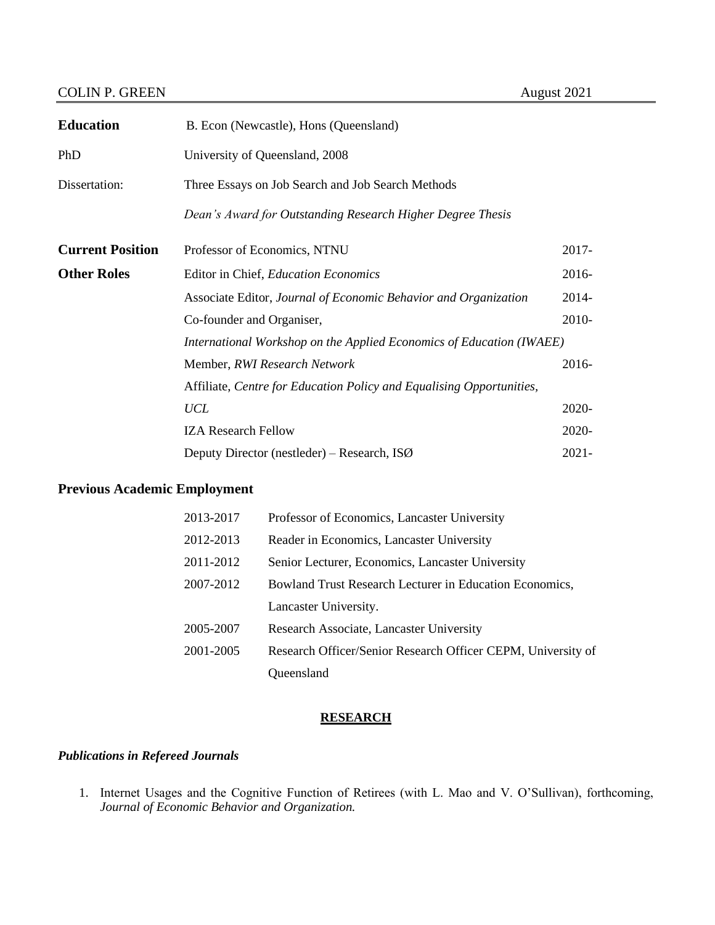# COLIN P. GREEN August 2021

| <b>Education</b>        | B. Econ (Newcastle), Hons (Queensland)                               |          |
|-------------------------|----------------------------------------------------------------------|----------|
| PhD                     | University of Queensland, 2008                                       |          |
| Dissertation:           | Three Essays on Job Search and Job Search Methods                    |          |
|                         | Dean's Award for Outstanding Research Higher Degree Thesis           |          |
| <b>Current Position</b> | Professor of Economics, NTNU                                         | $2017 -$ |
| <b>Other Roles</b>      | Editor in Chief, Education Economics                                 | 2016-    |
|                         | Associate Editor, Journal of Economic Behavior and Organization      | 2014-    |
|                         | Co-founder and Organiser,                                            | 2010-    |
|                         | International Workshop on the Applied Economics of Education (IWAEE) |          |
|                         | Member, RWI Research Network                                         | $2016 -$ |
|                         | Affiliate, Centre for Education Policy and Equalising Opportunities, |          |
|                         | <b>UCL</b>                                                           | 2020-    |
|                         | <b>IZA Research Fellow</b>                                           | 2020-    |
|                         | Deputy Director (nestleder) – Research, ISØ                          | $2021 -$ |

# **Previous Academic Employment**

| 2013-2017 | Professor of Economics, Lancaster University                 |
|-----------|--------------------------------------------------------------|
| 2012-2013 | Reader in Economics, Lancaster University                    |
| 2011-2012 | Senior Lecturer, Economics, Lancaster University             |
| 2007-2012 | Bowland Trust Research Lecturer in Education Economics,      |
|           | Lancaster University.                                        |
| 2005-2007 | Research Associate, Lancaster University                     |
| 2001-2005 | Research Officer/Senior Research Officer CEPM, University of |
|           | Queensland                                                   |

# **RESEARCH**

# *Publications in Refereed Journals*

1. Internet Usages and the Cognitive Function of Retirees (with L. Mao and V. O'Sullivan), forthcoming, *Journal of Economic Behavior and Organization.*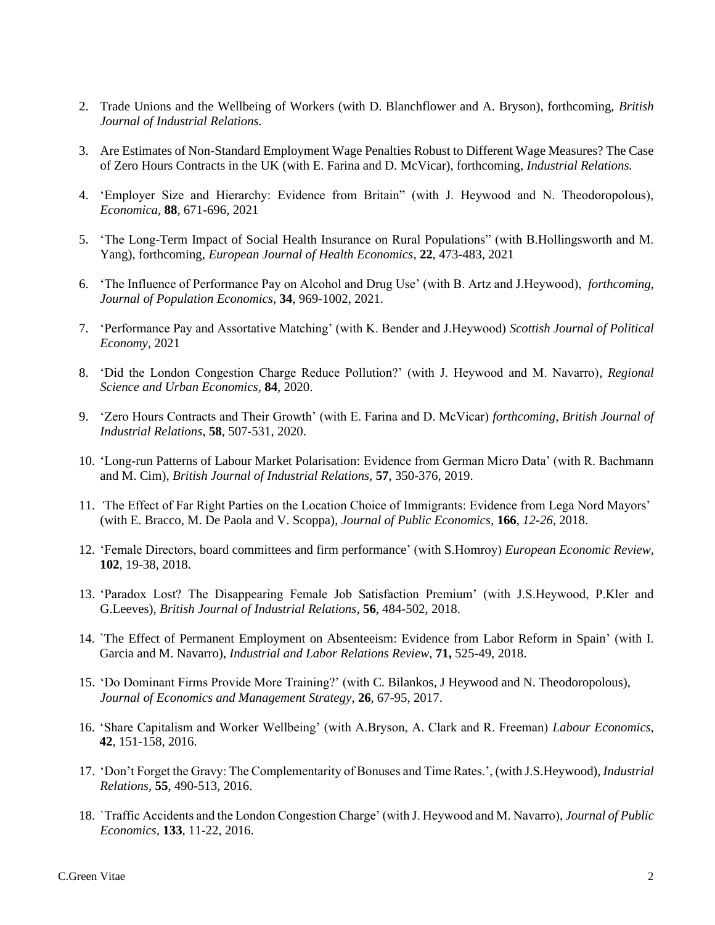- 2. Trade Unions and the Wellbeing of Workers (with D. Blanchflower and A. Bryson), forthcoming, *British Journal of Industrial Relations.*
- 3. Are Estimates of Non-Standard Employment Wage Penalties Robust to Different Wage Measures? The Case of Zero Hours Contracts in the UK (with E. Farina and D. McVicar), forthcoming, *Industrial Relations.*
- 4. 'Employer Size and Hierarchy: Evidence from Britain" (with J. Heywood and N. Theodoropolous), *Economica,* **88**, 671-696, 2021
- 5. 'The Long-Term Impact of Social Health Insurance on Rural Populations" (with B.Hollingsworth and M. Yang), forthcoming, *European Journal of Health Economics*, **22**, 473-483, 2021
- 6. 'The Influence of Performance Pay on Alcohol and Drug Use' (with B. Artz and J.Heywood), *forthcoming, Journal of Population Economics,* **34**, 969-1002, 2021.
- 7. 'Performance Pay and Assortative Matching' (with K. Bender and J.Heywood) *Scottish Journal of Political Economy,* 2021
- 8. 'Did the London Congestion Charge Reduce Pollution?' (with J. Heywood and M. Navarro)*, Regional Science and Urban Economics,* **84***,* 2020.
- 9. 'Zero Hours Contracts and Their Growth' (with E. Farina and D. McVicar) *forthcoming, British Journal of Industrial Relations*, **58**, 507-531, 2020.
- 10. 'Long-run Patterns of Labour Market Polarisation: Evidence from German Micro Data' (with R. Bachmann and M. Cim), *British Journal of Industrial Relations,* **57**, 350-376, 2019.
- 11. *'*The Effect of Far Right Parties on the Location Choice of Immigrants: Evidence from Lega Nord Mayors' (with E. Bracco, M. De Paola and V. Scoppa), *Journal of Public Economics,* **166**, *12-26*, 2018.
- 12. 'Female Directors, board committees and firm performance' (with S.Homroy) *European Economic Review,*  **102**, 19-38, 2018.
- 13. 'Paradox Lost? The Disappearing Female Job Satisfaction Premium' (with J.S.Heywood, P.Kler and G.Leeves), *British Journal of Industrial Relations,* **56**, 484-502, 2018.
- 14. `The Effect of Permanent Employment on Absenteeism: Evidence from Labor Reform in Spain' (with I. Garcia and M. Navarro), *Industrial and Labor Relations Review*, **71,** 525-49, 2018.
- 15. 'Do Dominant Firms Provide More Training?' (with C. Bilankos, J Heywood and N. Theodoropolous), *Journal of Economics and Management Strategy*, **26**, 67-95, 2017.
- 16. 'Share Capitalism and Worker Wellbeing' (with A.Bryson, A. Clark and R. Freeman) *Labour Economics*, **42**, 151-158, 2016.
- 17. 'Don't Forget the Gravy: The Complementarity of Bonuses and Time Rates.', (with J.S.Heywood), *Industrial Relations*, **55**, 490-513, 2016.
- 18. `Traffic Accidents and the London Congestion Charge' (with J. Heywood and M. Navarro), *Journal of Public Economics,* **133**, 11-22, 2016.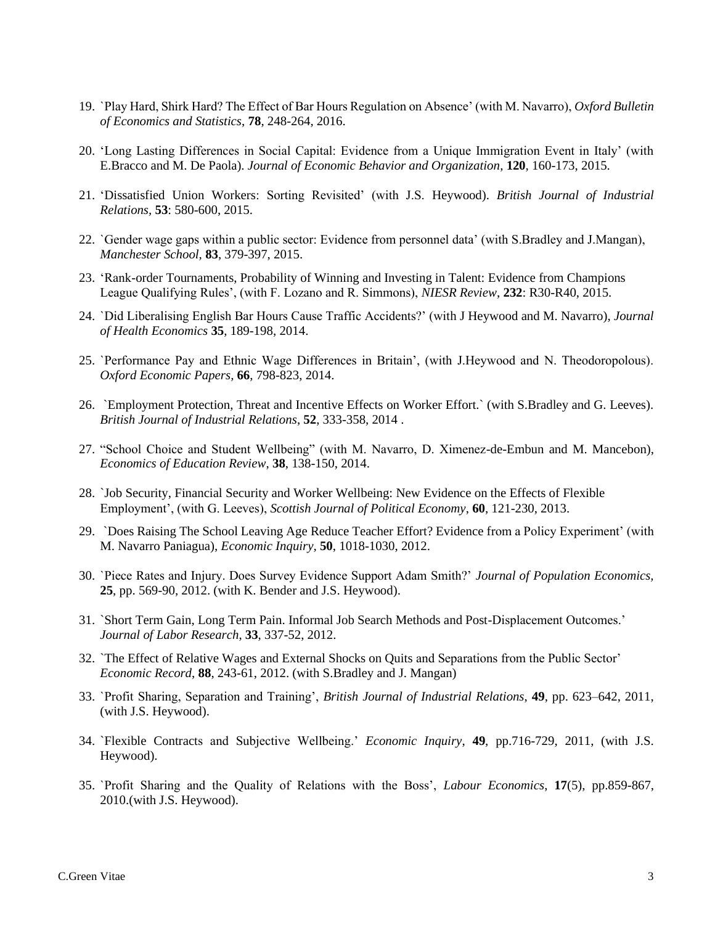- 19. `Play Hard, Shirk Hard? The Effect of Bar Hours Regulation on Absence' (with M. Navarro), *Oxford Bulletin of Economics and Statistics*, **78**, 248-264, 2016.
- 20. 'Long Lasting Differences in Social Capital: Evidence from a Unique Immigration Event in Italy' (with E.Bracco and M. De Paola). *Journal of Economic Behavior and Organization,* **120***,* 160-173, 2015.
- 21. 'Dissatisfied Union Workers: Sorting Revisited' (with J.S. Heywood). *British Journal of Industrial Relations,* **53**: 580-600, 2015.
- 22. `Gender wage gaps within a public sector: Evidence from personnel data' (with S.Bradley and J.Mangan), *Manchester School,* **83**, 379-397, 2015.
- 23. 'Rank-order Tournaments, Probability of Winning and Investing in Talent: Evidence from Champions League Qualifying Rules', (with F. Lozano and R. Simmons), *NIESR Review*, **232**: R30-R40, 2015.
- 24. `Did Liberalising English Bar Hours Cause Traffic Accidents?' (with J Heywood and M. Navarro), *Journal of Health Economics* **35**, 189-198, 2014.
- 25. `Performance Pay and Ethnic Wage Differences in Britain', (with J.Heywood and N. Theodoropolous). *Oxford Economic Papers,* **66**, 798-823, 2014.
- 26. `Employment Protection, Threat and Incentive Effects on Worker Effort.` (with S.Bradley and G. Leeves). *British Journal of Industrial Relations*, **52**, 333-358, 2014 .
- 27. "School Choice and Student Wellbeing" (with M. Navarro, D. Ximenez-de-Embun and M. Mancebon), *Economics of Education Review*, **38**, 138-150, 2014.
- 28. `Job Security, Financial Security and Worker Wellbeing: New Evidence on the Effects of Flexible Employment', (with G. Leeves), *Scottish Journal of Political Economy*, **60**, 121-230, 2013.
- 29. `Does Raising The School Leaving Age Reduce Teacher Effort? Evidence from a Policy Experiment' (with M. Navarro Paniagua), *Economic Inquiry,* **50**, 1018-1030, 2012.
- 30. `Piece Rates and Injury. Does Survey Evidence Support Adam Smith?' *Journal of Population Economics,*  **25**, pp. 569-90, 2012. (with K. Bender and J.S. Heywood).
- 31. `Short Term Gain, Long Term Pain. Informal Job Search Methods and Post-Displacement Outcomes.' *Journal of Labor Research*, **33**, 337-52, 2012.
- 32. `The Effect of Relative Wages and External Shocks on Quits and Separations from the Public Sector' *Economic Record*, **88**, 243-61, 2012. (with S.Bradley and J. Mangan)
- 33. `Profit Sharing, Separation and Training', *British Journal of Industrial Relations*, **49**, pp. 623–642, 2011, (with J.S. Heywood).
- 34. `Flexible Contracts and Subjective Wellbeing.' *Economic Inquiry*, **49**, pp.716-729, 2011, (with J.S. Heywood).
- 35. `Profit Sharing and the Quality of Relations with the Boss', *Labour Economics*, **17**(5), pp.859-867, 2010.(with J.S. Heywood).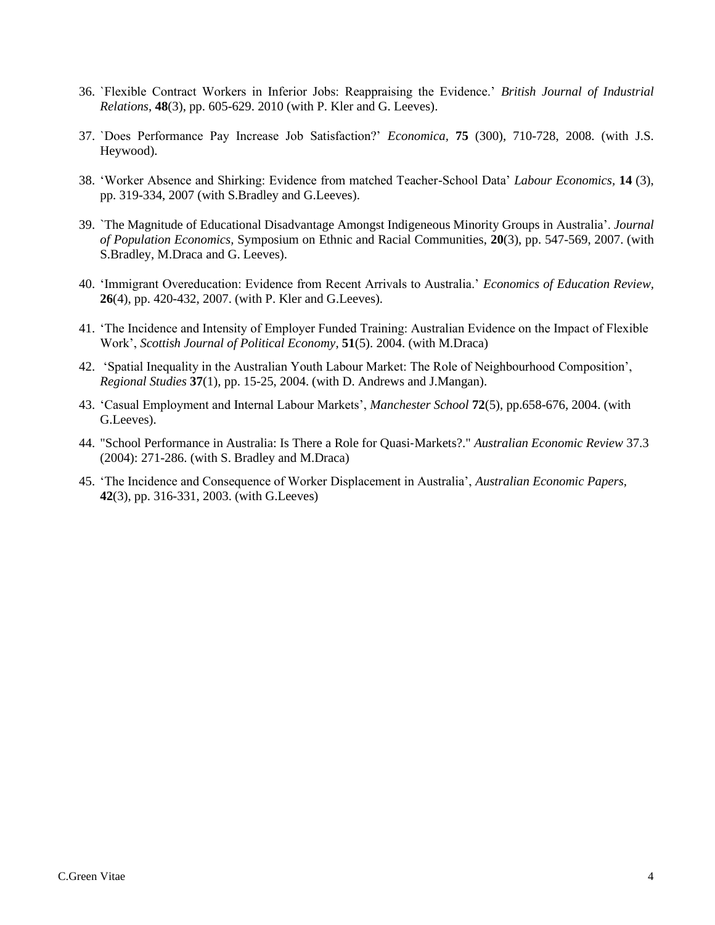- 36. `Flexible Contract Workers in Inferior Jobs: Reappraising the Evidence.' *British Journal of Industrial Relations*, **48**(3), pp. 605-629. 2010 (with P. Kler and G. Leeves).
- 37. `Does Performance Pay Increase Job Satisfaction?' *Economica,* **75** (300), 710-728, 2008. (with J.S. Heywood).
- 38. 'Worker Absence and Shirking: Evidence from matched Teacher-School Data' *Labour Economics,* **14** (3), pp. 319-334, 2007 (with S.Bradley and G.Leeves).
- 39. `The Magnitude of Educational Disadvantage Amongst Indigeneous Minority Groups in Australia'. *Journal of Population Economics,* Symposium on Ethnic and Racial Communities, **20**(3), pp. 547-569, 2007. (with S.Bradley, M.Draca and G. Leeves).
- 40. 'Immigrant Overeducation: Evidence from Recent Arrivals to Australia.' *Economics of Education Review,*  **26**(4), pp. 420-432, 2007. (with P. Kler and G.Leeves).
- 41. 'The Incidence and Intensity of Employer Funded Training: Australian Evidence on the Impact of Flexible Work', *Scottish Journal of Political Economy,* **51**(5). 2004. (with M.Draca)
- 42. 'Spatial Inequality in the Australian Youth Labour Market: The Role of Neighbourhood Composition', *Regional Studies* **37**(1), pp. 15-25, 2004. (with D. Andrews and J.Mangan).
- 43. 'Casual Employment and Internal Labour Markets', *Manchester School* **72**(5), pp.658-676, 2004. (with G.Leeves).
- 44. "School Performance in Australia: Is There a Role for Quasi‐Markets?." *Australian Economic Review* 37.3 (2004): 271-286. (with S. Bradley and M.Draca)
- 45. 'The Incidence and Consequence of Worker Displacement in Australia', *Australian Economic Papers,*  **42**(3), pp. 316-331, 2003. (with G.Leeves)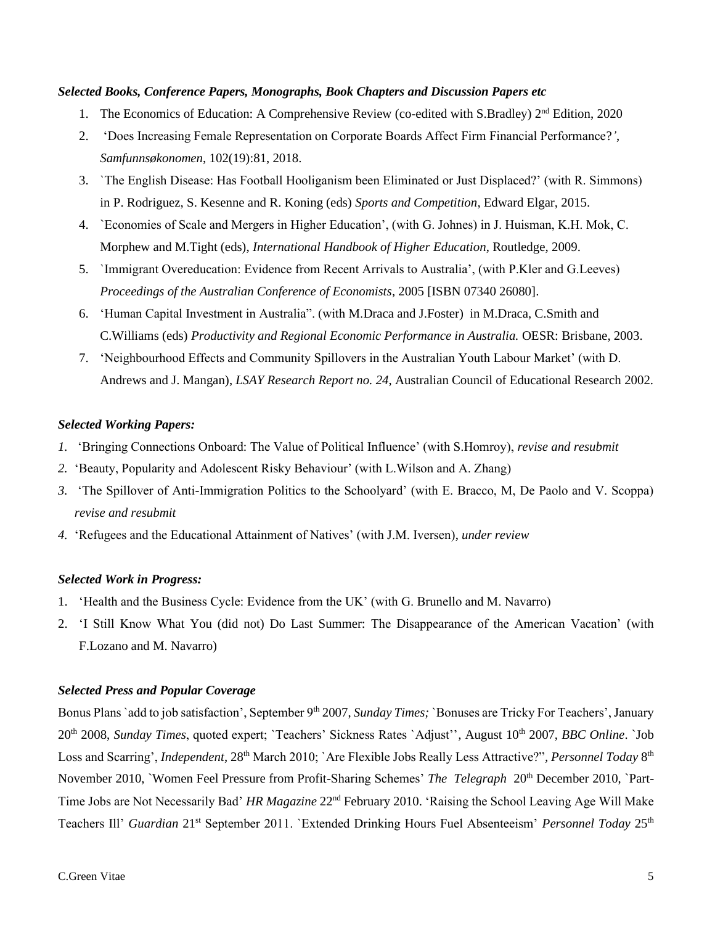#### *Selected Books, Conference Papers, Monographs, Book Chapters and Discussion Papers etc*

- 1. The Economics of Education: A Comprehensive Review (co-edited with S.Bradley) 2<sup>nd</sup> Edition, 2020
- 2. 'Does Increasing Female Representation on Corporate Boards Affect Firm Financial Performance?*'*, *Samfunnsøkonomen*, 102(19):81, 2018.
- 3. `The English Disease: Has Football Hooliganism been Eliminated or Just Displaced?' (with R. Simmons) in P. Rodriguez, S. Kesenne and R. Koning (eds) *Sports and Competition*, Edward Elgar, 2015.
- 4. `Economies of Scale and Mergers in Higher Education', (with G. Johnes) in J. Huisman, K.H. Mok, C. Morphew and M.Tight (eds), *International Handbook of Higher Education*, Routledge, 2009.
- 5. `Immigrant Overeducation: Evidence from Recent Arrivals to Australia', (with P.Kler and G.Leeves) *Proceedings of the Australian Conference of Economists*, 2005 [ISBN 07340 26080].
- 6. 'Human Capital Investment in Australia". (with M.Draca and J.Foster) in M.Draca, C.Smith and C.Williams (eds) *Productivity and Regional Economic Performance in Australia.* OESR: Brisbane, 2003.
- 7. 'Neighbourhood Effects and Community Spillovers in the Australian Youth Labour Market' (with D. Andrews and J. Mangan), *LSAY Research Report no. 24*, Australian Council of Educational Research 2002.

### *Selected Working Papers:*

- *1.* 'Bringing Connections Onboard: The Value of Political Influence' (with S.Homroy), *revise and resubmit*
- *2.* 'Beauty, Popularity and Adolescent Risky Behaviour' (with L.Wilson and A. Zhang)
- *3.* 'The Spillover of Anti-Immigration Politics to the Schoolyard' (with E. Bracco, M, De Paolo and V. Scoppa) *revise and resubmit*
- *4.* 'Refugees and the Educational Attainment of Natives' (with J.M. Iversen), *under review*

### *Selected Work in Progress:*

- 1. 'Health and the Business Cycle: Evidence from the UK' (with G. Brunello and M. Navarro)
- 2. 'I Still Know What You (did not) Do Last Summer: The Disappearance of the American Vacation' (with F.Lozano and M. Navarro)

### *Selected Press and Popular Coverage*

Bonus Plans `add to job satisfaction', September 9<sup>th</sup> 2007, *Sunday Times;* `Bonuses are Tricky For Teachers', January 20th 2008, *Sunday Times*, quoted expert; `Teachers' Sickness Rates `Adjust''*,* August 10th 2007, *BBC Online*. `Job Loss and Scarring', *Independent*, 28<sup>th</sup> March 2010; `Are Flexible Jobs Really Less Attractive?", Personnel Today 8<sup>th</sup> November 2010, `Women Feel Pressure from Profit-Sharing Schemes' *The Telegraph* 20th December 2010, `Part-Time Jobs are Not Necessarily Bad' *HR Magazine* 22nd February 2010. 'Raising the School Leaving Age Will Make Teachers Ill' *Guardian* 21st September 2011. `Extended Drinking Hours Fuel Absenteeism' *Personnel Today* 25th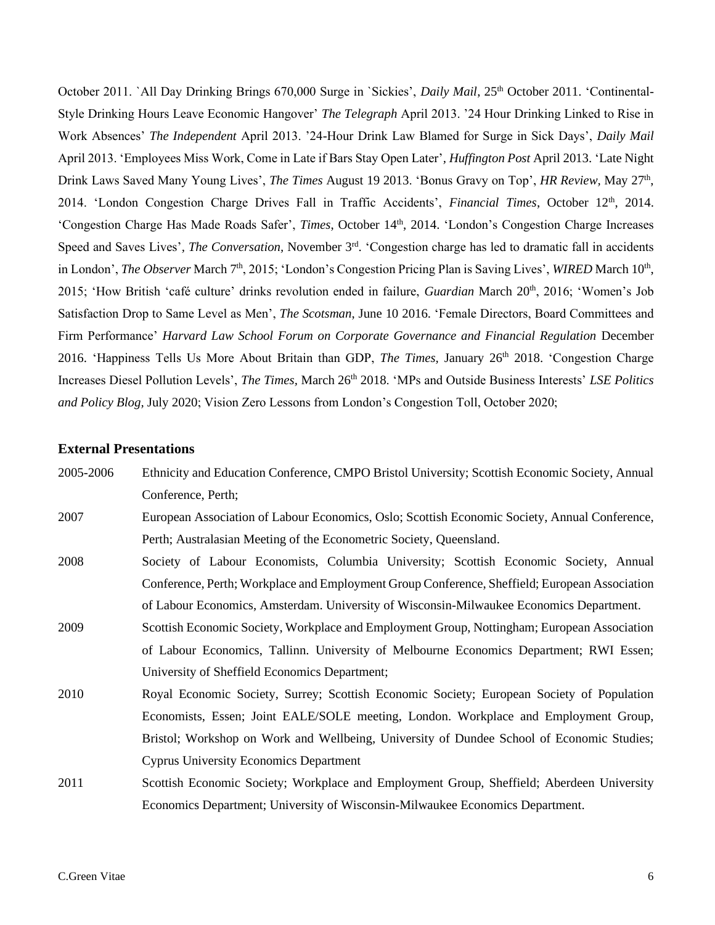October 2011. `All Day Drinking Brings 670,000 Surge in `Sickies', *Daily Mail*, 25<sup>th</sup> October 2011. 'Continental-Style Drinking Hours Leave Economic Hangover' *The Telegraph* April 2013. '24 Hour Drinking Linked to Rise in Work Absences' *The Independent* April 2013. '24-Hour Drink Law Blamed for Surge in Sick Days', *Daily Mail* April 2013. 'Employees Miss Work, Come in Late if Bars Stay Open Later'*, Huffington Post* April 2013. 'Late Night Drink Laws Saved Many Young Lives', *The Times* August 19 2013. 'Bonus Gravy on Top', *HR Review*, May 27<sup>th</sup>, 2014. 'London Congestion Charge Drives Fall in Traffic Accidents', *Financial Times*, October 12<sup>th</sup>, 2014. 'Congestion Charge Has Made Roads Safer', *Times*, October 14<sup>th</sup>, 2014. 'London's Congestion Charge Increases Speed and Saves Lives', The Conversation, November 3<sup>rd</sup>. 'Congestion charge has led to dramatic fall in accidents in London', *The Observer* March 7<sup>th</sup>, 2015; 'London's Congestion Pricing Plan is Saving Lives', *WIRED* March 10<sup>th</sup>, 2015; 'How British 'café culture' drinks revolution ended in failure, *Guardian* March 20<sup>th</sup>, 2016; 'Women's Job Satisfaction Drop to Same Level as Men', *The Scotsman*, June 10 2016. 'Female Directors, Board Committees and Firm Performance' *Harvard Law School Forum on Corporate Governance and Financial Regulation* December 2016. 'Happiness Tells Us More About Britain than GDP, *The Times*, January 26<sup>th</sup> 2018. 'Congestion Charge Increases Diesel Pollution Levels', *The Times*, March 26<sup>th</sup> 2018. 'MPs and Outside Business Interests' *LSE Politics and Policy Blog,* July 2020; Vision Zero Lessons from London's Congestion Toll, October 2020;

#### **External Presentations**

| 2005-2006 | Ethnicity and Education Conference, CMPO Bristol University; Scottish Economic Society, Annual |
|-----------|------------------------------------------------------------------------------------------------|
|           | Conference, Perth;                                                                             |
| 2007      | European Association of Labour Economics, Oslo; Scottish Economic Society, Annual Conference,  |
|           | Perth; Australasian Meeting of the Econometric Society, Queensland.                            |
| 2008      | Society of Labour Economists, Columbia University; Scottish Economic Society, Annual           |
|           | Conference, Perth; Workplace and Employment Group Conference, Sheffield; European Association  |
|           | of Labour Economics, Amsterdam. University of Wisconsin-Milwaukee Economics Department.        |
| 2009      | Scottish Economic Society, Workplace and Employment Group, Nottingham; European Association    |
|           | of Labour Economics, Tallinn. University of Melbourne Economics Department; RWI Essen;         |
|           | University of Sheffield Economics Department;                                                  |
| 2010      | Royal Economic Society, Surrey; Scottish Economic Society; European Society of Population      |
|           | Economists, Essen; Joint EALE/SOLE meeting, London. Workplace and Employment Group,            |
|           | Bristol; Workshop on Work and Wellbeing, University of Dundee School of Economic Studies;      |
|           | <b>Cyprus University Economics Department</b>                                                  |
| 2011      | Scottish Economic Society; Workplace and Employment Group, Sheffield; Aberdeen University      |
|           | Economics Department; University of Wisconsin-Milwaukee Economics Department.                  |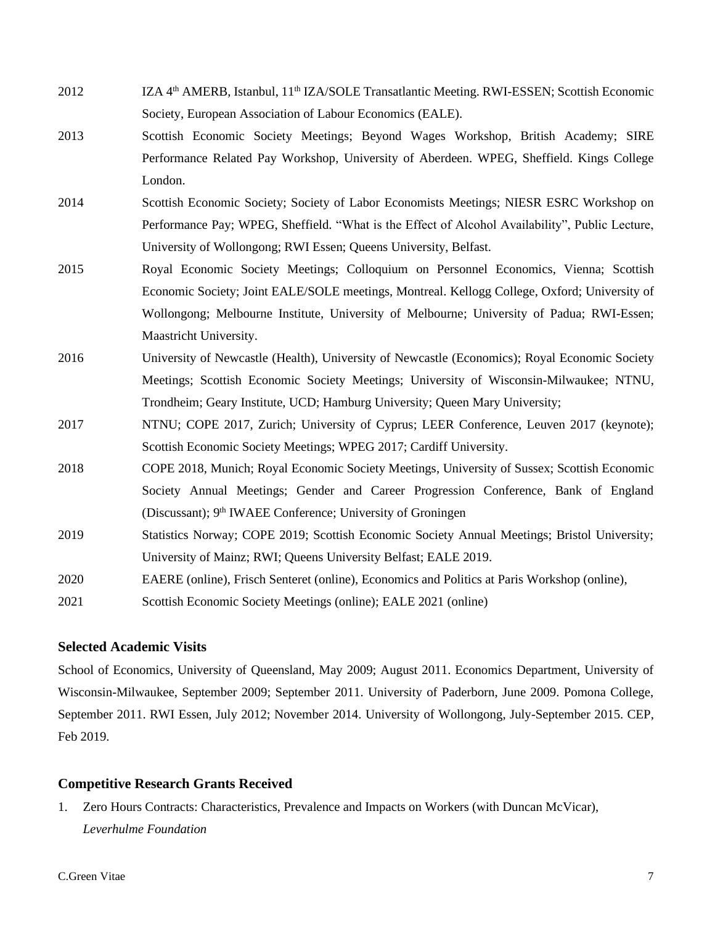- 2012 IZA 4<sup>th</sup> AMERB, Istanbul, 11<sup>th</sup> IZA/SOLE Transatlantic Meeting. RWI-ESSEN: Scottish Economic Society, European Association of Labour Economics (EALE).
- 2013 Scottish Economic Society Meetings; Beyond Wages Workshop, British Academy; SIRE Performance Related Pay Workshop, University of Aberdeen. WPEG, Sheffield. Kings College London.
- 2014 Scottish Economic Society; Society of Labor Economists Meetings; NIESR ESRC Workshop on Performance Pay; WPEG, Sheffield. "What is the Effect of Alcohol Availability", Public Lecture, University of Wollongong; RWI Essen; Queens University, Belfast.
- 2015 Royal Economic Society Meetings; Colloquium on Personnel Economics, Vienna; Scottish Economic Society; Joint EALE/SOLE meetings, Montreal. Kellogg College, Oxford; University of Wollongong; Melbourne Institute, University of Melbourne; University of Padua; RWI-Essen; Maastricht University.
- 2016 University of Newcastle (Health), University of Newcastle (Economics); Royal Economic Society Meetings; Scottish Economic Society Meetings; University of Wisconsin-Milwaukee; NTNU, Trondheim; Geary Institute, UCD; Hamburg University; Queen Mary University;
- 2017 NTNU; COPE 2017, Zurich; University of Cyprus; LEER Conference, Leuven 2017 (keynote); Scottish Economic Society Meetings; WPEG 2017; Cardiff University.
- 2018 COPE 2018, Munich; Royal Economic Society Meetings, University of Sussex; Scottish Economic Society Annual Meetings; Gender and Career Progression Conference, Bank of England (Discussant); 9<sup>th</sup> IWAEE Conference; University of Groningen
- 2019 Statistics Norway; COPE 2019; Scottish Economic Society Annual Meetings; Bristol University; University of Mainz; RWI; Queens University Belfast; EALE 2019.
- 2020 EAERE (online), Frisch Senteret (online), Economics and Politics at Paris Workshop (online),

2021 Scottish Economic Society Meetings (online); EALE 2021 (online)

### **Selected Academic Visits**

School of Economics, University of Queensland, May 2009; August 2011. Economics Department, University of Wisconsin-Milwaukee, September 2009; September 2011. University of Paderborn, June 2009. Pomona College, September 2011. RWI Essen, July 2012; November 2014. University of Wollongong, July-September 2015. CEP, Feb 2019.

### **Competitive Research Grants Received**

1. Zero Hours Contracts: Characteristics, Prevalence and Impacts on Workers (with Duncan McVicar), *Leverhulme Foundation*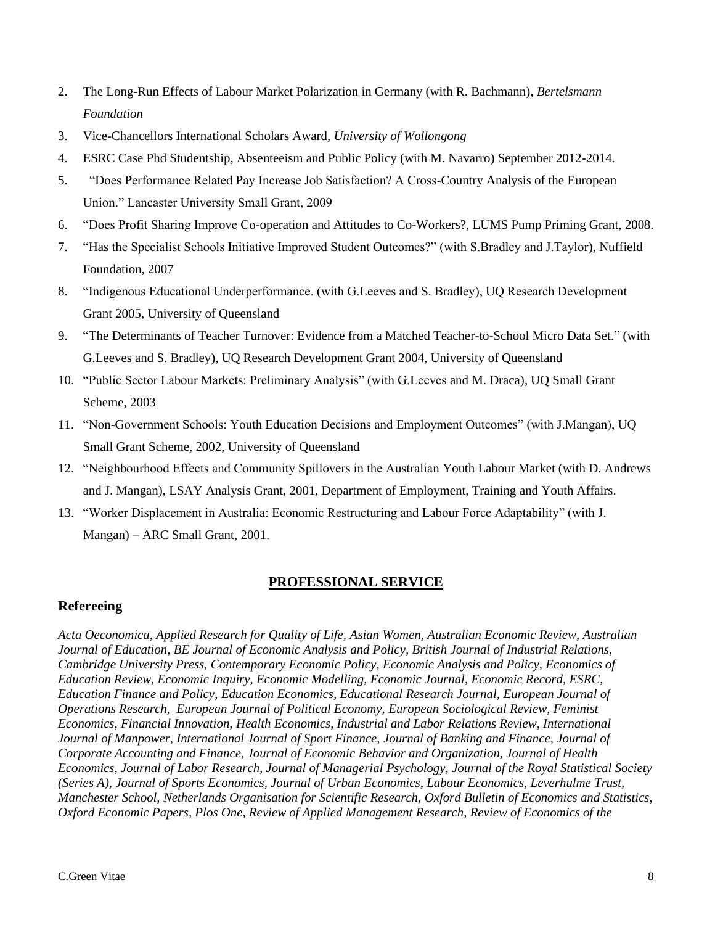- 2. The Long-Run Effects of Labour Market Polarization in Germany (with R. Bachmann), *Bertelsmann Foundation*
- 3. Vice-Chancellors International Scholars Award, *University of Wollongong*
- 4. ESRC Case Phd Studentship, Absenteeism and Public Policy (with M. Navarro) September 2012-2014.
- 5. "Does Performance Related Pay Increase Job Satisfaction? A Cross-Country Analysis of the European Union." Lancaster University Small Grant, 2009
- 6. "Does Profit Sharing Improve Co-operation and Attitudes to Co-Workers?, LUMS Pump Priming Grant, 2008.
- 7. "Has the Specialist Schools Initiative Improved Student Outcomes?" (with S.Bradley and J.Taylor), Nuffield Foundation, 2007
- 8. "Indigenous Educational Underperformance. (with G.Leeves and S. Bradley), UQ Research Development Grant 2005, University of Queensland
- 9. "The Determinants of Teacher Turnover: Evidence from a Matched Teacher-to-School Micro Data Set." (with G.Leeves and S. Bradley), UQ Research Development Grant 2004, University of Queensland
- 10. "Public Sector Labour Markets: Preliminary Analysis" (with G.Leeves and M. Draca), UQ Small Grant Scheme, 2003
- 11. "Non-Government Schools: Youth Education Decisions and Employment Outcomes" (with J.Mangan), UQ Small Grant Scheme, 2002, University of Queensland
- 12. "Neighbourhood Effects and Community Spillovers in the Australian Youth Labour Market (with D. Andrews and J. Mangan), LSAY Analysis Grant, 2001, Department of Employment, Training and Youth Affairs.
- 13. "Worker Displacement in Australia: Economic Restructuring and Labour Force Adaptability" (with J. Mangan) – ARC Small Grant, 2001.

## **PROFESSIONAL SERVICE**

## **Refereeing**

*Acta Oeconomica, Applied Research for Quality of Life, Asian Women, Australian Economic Review, Australian Journal of Education, BE Journal of Economic Analysis and Policy, British Journal of Industrial Relations, Cambridge University Press, Contemporary Economic Policy, Economic Analysis and Policy, Economics of Education Review, Economic Inquiry, Economic Modelling, Economic Journal, Economic Record, ESRC, Education Finance and Policy, Education Economics, Educational Research Journal, European Journal of Operations Research, European Journal of Political Economy, European Sociological Review, Feminist Economics, Financial Innovation, Health Economics, Industrial and Labor Relations Review, International Journal of Manpower, International Journal of Sport Finance, Journal of Banking and Finance, Journal of Corporate Accounting and Finance, Journal of Economic Behavior and Organization, Journal of Health Economics, Journal of Labor Research, Journal of Managerial Psychology, Journal of the Royal Statistical Society (Series A), Journal of Sports Economics, Journal of Urban Economics, Labour Economics, Leverhulme Trust, Manchester School, Netherlands Organisation for Scientific Research, Oxford Bulletin of Economics and Statistics, Oxford Economic Papers, Plos One, Review of Applied Management Research, Review of Economics of the*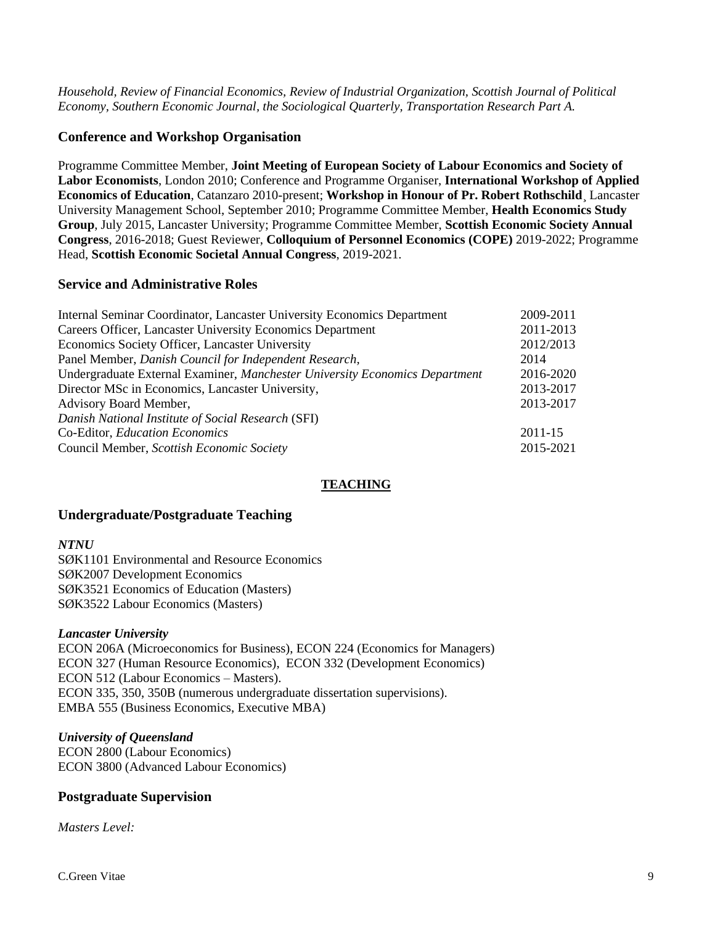*Household, Review of Financial Economics, Review of Industrial Organization, Scottish Journal of Political Economy, Southern Economic Journal, the Sociological Quarterly, Transportation Research Part A.*

### **Conference and Workshop Organisation**

Programme Committee Member, **Joint Meeting of European Society of Labour Economics and Society of Labor Economists**, London 2010; Conference and Programme Organiser, **International Workshop of Applied Economics of Education**, Catanzaro 2010-present; **Workshop in Honour of Pr. Robert Rothschild**¸ Lancaster University Management School, September 2010; Programme Committee Member, **Health Economics Study Group**, July 2015, Lancaster University; Programme Committee Member, **Scottish Economic Society Annual Congress**, 2016-2018; Guest Reviewer, **Colloquium of Personnel Economics (COPE)** 2019-2022; Programme Head, **Scottish Economic Societal Annual Congress**, 2019-2021.

# **Service and Administrative Roles**

| Internal Seminar Coordinator, Lancaster University Economics Department     | 2009-2011 |  |
|-----------------------------------------------------------------------------|-----------|--|
| Careers Officer, Lancaster University Economics Department                  |           |  |
| Economics Society Officer, Lancaster University                             |           |  |
| Panel Member, Danish Council for Independent Research,                      |           |  |
| Undergraduate External Examiner, Manchester University Economics Department |           |  |
| Director MSc in Economics, Lancaster University,                            |           |  |
| <b>Advisory Board Member,</b>                                               |           |  |
| Danish National Institute of Social Research (SFI)                          |           |  |
| Co-Editor, Education Economics                                              | 2011-15   |  |
| Council Member, Scottish Economic Society                                   | 2015-2021 |  |
|                                                                             |           |  |

## **TEACHING**

### **Undergraduate/Postgraduate Teaching**

#### *NTNU*

SØK1101 Environmental and Resource Economics SØK2007 Development Economics SØK3521 Economics of Education (Masters) SØK3522 Labour Economics (Masters)

### *Lancaster University*

ECON 206A (Microeconomics for Business), ECON 224 (Economics for Managers) ECON 327 (Human Resource Economics), ECON 332 (Development Economics) ECON 512 (Labour Economics – Masters). ECON 335, 350, 350B (numerous undergraduate dissertation supervisions). EMBA 555 (Business Economics, Executive MBA)

### *University of Queensland*

ECON 2800 (Labour Economics) ECON 3800 (Advanced Labour Economics)

## **Postgraduate Supervision**

*Masters Level:*